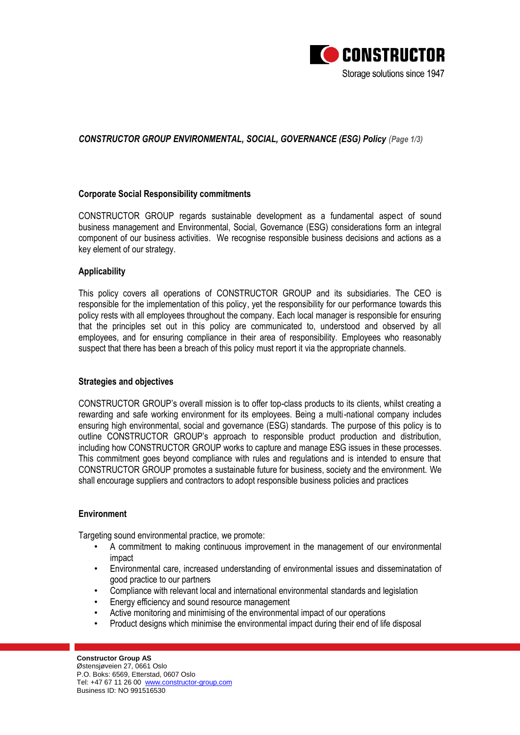

## *CONSTRUCTOR GROUP ENVIRONMENTAL, SOCIAL, GOVERNANCE (ESG) Policy (Page 1/3)*

## **Corporate Social Responsibility commitments**

CONSTRUCTOR GROUP regards sustainable development as a fundamental aspect of sound business management and Environmental, Social, Governance (ESG) considerations form an integral component of our business activities. We recognise responsible business decisions and actions as a key element of our strategy.

## **Applicability**

This policy covers all operations of CONSTRUCTOR GROUP and its subsidiaries. The CEO is responsible for the implementation of this policy, yet the responsibility for our performance towards this policy rests with all employees throughout the company. Each local manager is responsible for ensuring that the principles set out in this policy are communicated to, understood and observed by all employees, and for ensuring compliance in their area of responsibility. Employees who reasonably suspect that there has been a breach of this policy must report it via the appropriate channels.

### **Strategies and objectives**

CONSTRUCTOR GROUP's overall mission is to offer top-class products to its clients, whilst creating a rewarding and safe working environment for its employees. Being a multi-national company includes ensuring high environmental, social and governance (ESG) standards. The purpose of this policy is to outline CONSTRUCTOR GROUP's approach to responsible product production and distribution, including how CONSTRUCTOR GROUP works to capture and manage ESG issues in these processes. This commitment goes beyond compliance with rules and regulations and is intended to ensure that CONSTRUCTOR GROUP promotes a sustainable future for business, society and the environment. We shall encourage suppliers and contractors to adopt responsible business policies and practices

### **Environment**

Targeting sound environmental practice, we promote:

- A commitment to making continuous improvement in the management of our environmental impact
- Environmental care, increased understanding of environmental issues and disseminatation of good practice to our partners
- Compliance with relevant local and international environmental standards and legislation
- Energy efficiency and sound resource management
- Active monitoring and minimising of the environmental impact of our operations
- Product designs which minimise the environmental impact during their end of life disposal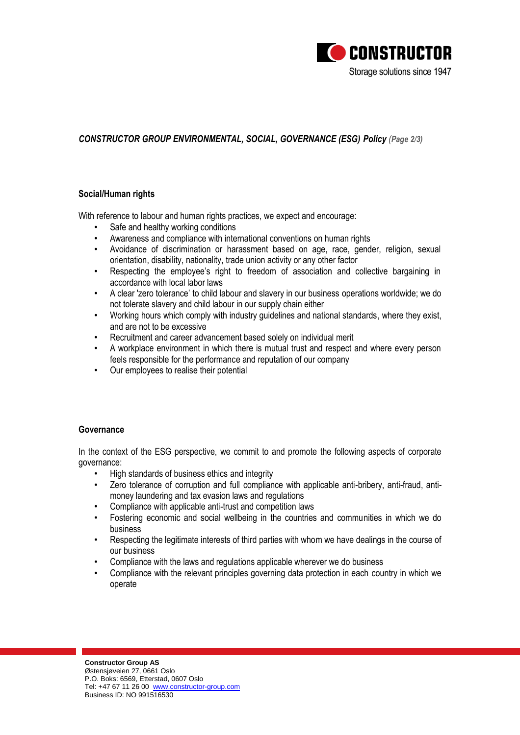

# *CONSTRUCTOR GROUP ENVIRONMENTAL, SOCIAL, GOVERNANCE (ESG) Policy (Page 2/3)*

## **Social/Human rights**

With reference to labour and human rights practices, we expect and encourage:

- Safe and healthy working conditions
- Awareness and compliance with international conventions on human rights
- Avoidance of discrimination or harassment based on age, race, gender, religion, sexual orientation, disability, nationality, trade union activity or any other factor
- Respecting the employee's right to freedom of association and collective bargaining in accordance with local labor laws
- A clear 'zero tolerance' to child labour and slavery in our business operations worldwide; we do not tolerate slavery and child labour in our supply chain either
- Working hours which comply with industry guidelines and national standards, where they exist, and are not to be excessive
- Recruitment and career advancement based solely on individual merit
- A workplace environment in which there is mutual trust and respect and where every person feels responsible for the performance and reputation of our company
- Our employees to realise their potential

## **Governance**

In the context of the ESG perspective, we commit to and promote the following aspects of corporate governance:

- High standards of business ethics and integrity
- Zero tolerance of corruption and full compliance with applicable anti-bribery, anti-fraud, antimoney laundering and tax evasion laws and regulations
- Compliance with applicable anti-trust and competition laws
- Fostering economic and social wellbeing in the countries and communities in which we do business
- Respecting the legitimate interests of third parties with whom we have dealings in the course of our business
- Compliance with the laws and regulations applicable wherever we do business
- Compliance with the relevant principles governing data protection in each country in which we operate